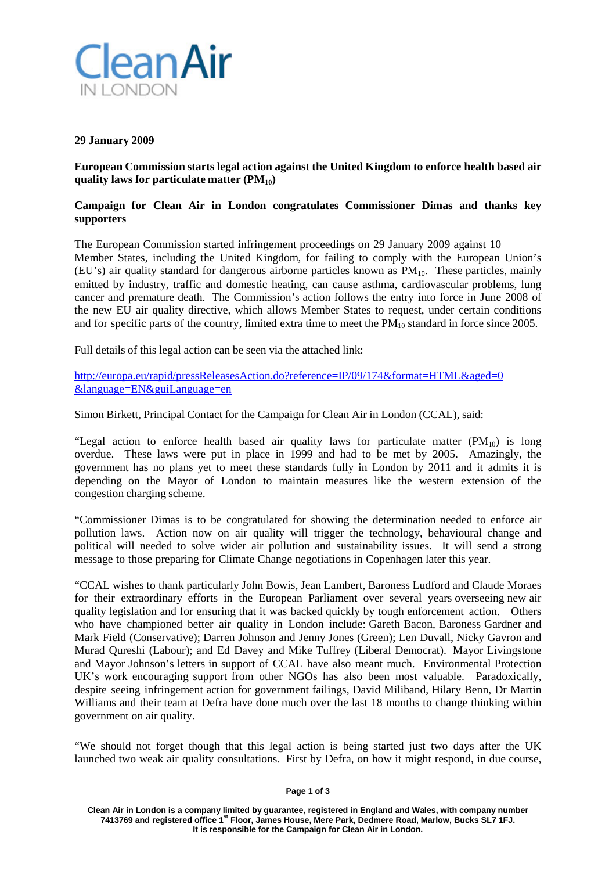

### **29 January 2009**

**European Commission starts legal action against the United Kingdom to enforce health based air quality laws for particulate matter (PM10)**

## **Campaign for Clean Air in London congratulates Commissioner Dimas and thanks key supporters**

The European Commission started infringement proceedings on 29 January 2009 against 10 Member States, including the United Kingdom, for failing to comply with the European Union's (EU's) air quality standard for dangerous airborne particles known as  $PM_{10}$ . These particles, mainly emitted by industry, traffic and domestic heating, can cause asthma, cardiovascular problems, lung cancer and premature death. The Commission's action follows the entry into force in June 2008 of the new EU air quality directive, which allows Member States to request, under certain conditions and for specific parts of the country, limited extra time to meet the  $PM_{10}$  standard in force since 2005.

Full details of this legal action can be seen via the attached link:

<http://europa.eu/rapid/pressReleasesAction.do?reference=IP/09/174&format=HTML&aged=0> [&language=EN&guiLanguage=en](http://europa.eu/rapid/pressReleasesAction.do?reference=IP/09/174&format=HTML&aged=0)

Simon Birkett, Principal Contact for the Campaign for Clean Air in London (CCAL), said:

"Legal action to enforce health based air quality laws for particulate matter  $(PM_{10})$  is long overdue. These laws were put in place in 1999 and had to be met by 2005. Amazingly, the government has no plans yet to meet these standards fully in London by 2011 and it admits it is depending on the Mayor of London to maintain measures like the western extension of the congestion charging scheme.

"Commissioner Dimas is to be congratulated for showing the determination needed to enforce air pollution laws. Action now on air quality will trigger the technology, behavioural change and political will needed to solve wider air pollution and sustainability issues. It will send a strong message to those preparing for Climate Change negotiations in Copenhagen later this year.

"CCAL wishes to thank particularly John Bowis, Jean Lambert, Baroness Ludford and Claude Moraes for their extraordinary efforts in the European Parliament over several years overseeing new air quality legislation and for ensuring that it was backed quickly by tough enforcement action. Others who have championed better air quality in London include: Gareth Bacon, Baroness Gardner and Mark Field (Conservative); Darren Johnson and Jenny Jones (Green); Len Duvall, Nicky Gavron and Murad Qureshi (Labour); and Ed Davey and Mike Tuffrey (Liberal Democrat). Mayor Livingstone and Mayor Johnson's letters in support of CCAL have also meant much. Environmental Protection UK's work encouraging support from other NGOs has also been most valuable. Paradoxically, despite seeing infringement action for government failings, David Miliband, Hilary Benn, Dr Martin Williams and their team at Defra have done much over the last 18 months to change thinking within government on air quality.

"We should not forget though that this legal action is being started just two days after the UK launched two weak air quality consultations. First by Defra, on how it might respond, in due course,

#### **Page 1 of 3**

**Clean Air in London is a company limited by guarantee, registered in England and Wales, with company number 7413769 and registered office 1st Floor, James House, Mere Park, Dedmere Road, Marlow, Bucks SL7 1FJ. It is responsible for the Campaign for Clean Air in London.**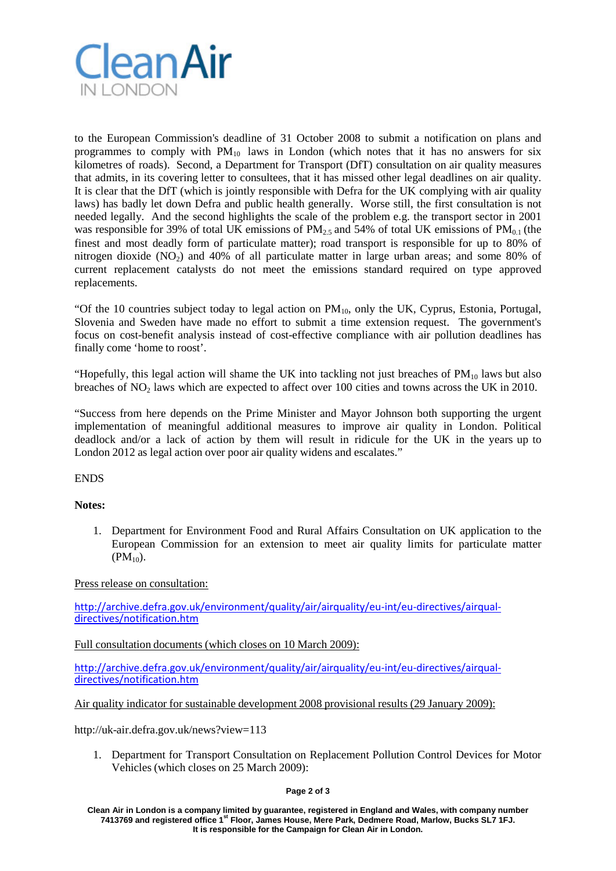

to the European Commission's deadline of 31 October 2008 to submit a notification on plans and programmes to comply with  $PM_{10}$  laws in London (which notes that it has no answers for six kilometres of roads). Second, a Department for Transport (DfT) consultation on air quality measures that admits, in its covering letter to consultees, that it has missed other legal deadlines on air quality. It is clear that the DfT (which is jointly responsible with Defra for the UK complying with air quality laws) has badly let down Defra and public health generally. Worse still, the first consultation is not needed legally. And the second highlights the scale of the problem e.g. the transport sector in 2001 was responsible for 39% of total UK emissions of  $PM_{2.5}$  and 54% of total UK emissions of  $PM_{0.1}$  (the finest and most deadly form of particulate matter); road transport is responsible for up to 80% of nitrogen dioxide  $(NO_2)$  and  $40\%$  of all particulate matter in large urban areas; and some 80% of current replacement catalysts do not meet the emissions standard required on type approved replacements.

"Of the 10 countries subject today to legal action on  $PM_{10}$ , only the UK, Cyprus, Estonia, Portugal, Slovenia and Sweden have made no effort to submit a time extension request. The government's focus on cost-benefit analysis instead of cost-effective compliance with air pollution deadlines has finally come 'home to roost'.

"Hopefully, this legal action will shame the UK into tackling not just breaches of  $PM_{10}$  laws but also breaches of  $NO<sub>2</sub>$  laws which are expected to affect over 100 cities and towns across the UK in 2010.

"Success from here depends on the Prime Minister and Mayor Johnson both supporting the urgent implementation of meaningful additional measures to improve air quality in London. Political deadlock and/or a lack of action by them will result in ridicule for the UK in the years up to London 2012 as legal action over poor air quality widens and escalates."

ENDS

## **Notes:**

1. Department for Environment Food and Rural Affairs Consultation on UK application to the European Commission for an extension to meet air quality limits for particulate matter  $(PM_{10})$ .

Press release on consultation:

[http://archive.defra.gov.uk/environment/quality/air/airquality/eu-int/eu-directives/airqual-](http://archive.defra.gov.uk/environment/quality/air/airquality/eu-int/eu-directives/airqual-directives/notification.htm) [directives/notification.htm](http://archive.defra.gov.uk/environment/quality/air/airquality/eu-int/eu-directives/airqual-directives/notification.htm)

Full consultation documents (which closes on 10 March 2009):

[http://archive.defra.gov.uk/environment/quality/air/airquality/eu-int/eu-directives/airqual-](http://archive.defra.gov.uk/environment/quality/air/airquality/eu-int/eu-directives/airqual-directives/notification.htm) [directives/notification.htm](http://archive.defra.gov.uk/environment/quality/air/airquality/eu-int/eu-directives/airqual-directives/notification.htm)

Air quality indicator for sustainable development 2008 provisional results (29 January 2009):

http://uk-air.defra.gov.uk/news?view=113

1. Department for Transport Consultation on Replacement Pollution Control Devices for Motor Vehicles (which closes on 25 March 2009):

#### **Page 2 of 3**

**Clean Air in London is a company limited by guarantee, registered in England and Wales, with company number 7413769 and registered office 1st Floor, James House, Mere Park, Dedmere Road, Marlow, Bucks SL7 1FJ. It is responsible for the Campaign for Clean Air in London.**